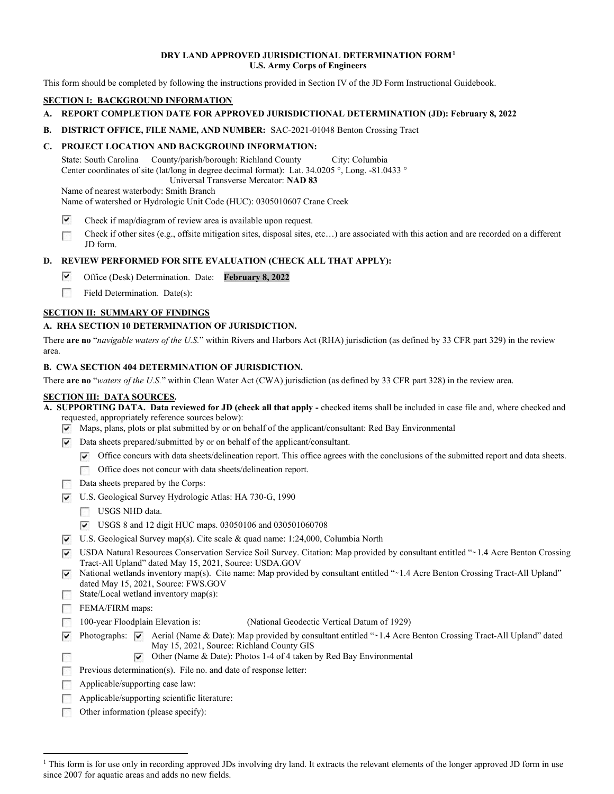#### DRY LAND APPROVED JURISDICTIONAL DETERMINATION FORM1 U.S. Army Corps of Engineers

This form should be completed by following the instructions provided in Section IV of the JD Form Instructional Guidebook.

# SECTION I: BACKGROUND INFORMATION

- A. REPORT COMPLETION DATE FOR APPROVED JURISDICTIONAL DETERMINATION (JD): February 8, 2022
- B. DISTRICT OFFICE, FILE NAME, AND NUMBER: SAC-2021-01048 Benton Crossing Tract

# C. PROJECT LOCATION AND BACKGROUND INFORMATION:

State: South Carolina Center coordinates of site (lat/long in degree decimal format): Lat. 34.0205 °, Long. -81.0433 ° County/parish/borough: Richland County City: Columbia Universal Transverse Mercator: NAD 83

Name of nearest waterbody: Smith Branch Name of watershed or Hydrologic Unit Code (HUC): 0305010607 Crane Creek

- ⊽ Check if map/diagram of review area is available upon request.
- Check if other sites (e.g., offsite mitigation sites, disposal sites, etc…) are associated with this action and are recorded on a different 1999 JD form.

## D. REVIEW PERFORMED FOR SITE EVALUATION (CHECK ALL THAT APPLY):

- **p-**Office (Desk) Determination. Date: February 8, 2022
- Field Determination. Date(s): ran a

## SECTION II: SUMMARY OF FINDINGS

## A. RHA SECTION 10 DETERMINATION OF JURISDICTION.

There are no "navigable waters of the U.S." within Rivers and Harbors Act (RHA) jurisdiction (as defined by 33 CFR part 329) in the review area.

#### B. CWA SECTION 404 DETERMINATION OF JURISDICTION.

There are no "waters of the U.S." within Clean Water Act (CWA) jurisdiction (as defined by 33 CFR part 328) in the review area.

## SECTION III: DATA SOURCES.

 A. SUPPORTING DATA. Data reviewed for JD (check all that apply - checked items shall be included in case file and, where checked and requested, appropriately reference sources below):

- **p-**Maps, plans, plots or plat submitted by or on behalf of the applicant/consultant: Red Bay Environmental
- **p** Data sheets prepared/submitted by or on behalf of the applicant/consultant.
	- **p-**Office concurs with data sheets/delineation report. This office agrees with the conclusions of the submitted report and data sheets.
	- Office does not concur with data sheets/delineation report. **response**
- Data sheets prepared by the Corps:
- **p-**U.S. Geological Survey Hydrologic Atlas: HA 730-G, 1990
	- USGS NHD data.
	- **p-**USGS 8 and 12 digit HUC maps. 03050106 and 030501060708
- **p-**U.S. Geological Survey map(s). Cite scale & quad name: 1:24,000, Columbia North
- **P** USDA Natural Resources Conservation Service Soil Survey. Citation: Map provided by consultant entitled "~1.4 Acre Benton Crossing Tract-All Upland" dated May 15, 2021, Source: [USDA.GOV](https://USDA.GOV)
- **P** National wetlands inventory map(s). Cite name: Map provided by consultant entitled "~1.4 Acre Benton Crossing Tract-All Upland" dated May 15, 2021, Source: FWS.GOV
- State/Local wetland inventory map(s): r

FEMA/FIRM maps:

- **response** 100-year Floodplain Elevation is: (National Geodectic Vertical Datum of 1929)
- Photographs:  $\overline{v}$  Aerial (Name & Date): Map provided by consultant entitled " $\sim$  1.4 Acre Benton Crossing Tract-All Upland" dated May 15, 2021, Source: Richland County GIS **p**r Photographs:  $\overline{\mathbf{v}}$ 
	- Other (Name & Date): Photos 1-4 of 4 taken by Red Bay Environmental **p-**
- Previous determination(s). File no. and date of response letter: r
- Applicable/supporting case law: r
- Applicable/supporting scientific literature: r
- Other information (please specify): ran a

<sup>&</sup>lt;sup>1</sup> This form is for use only in recording approved JDs involving dry land. It extracts the relevant elements of the longer approved JD form in use since 2007 for aquatic areas and adds no new fields.